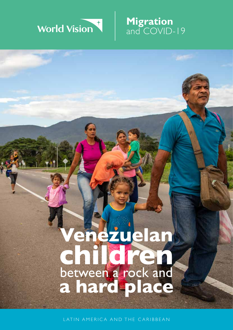# World Vision

**Migration**

and COVID-19

## **children Venezuelan a hard place** between a rock and

LATIN AMERICA AND THE CARIBBEAN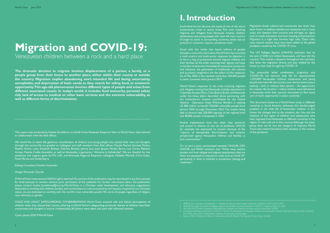## **Migration and COVID-19:**

Venezuelan children between a rock and a hard place

**The dramatic decision to migrate involves displacement of a person, a family, or a people group from their home to another place, either within their county or outside the country. Migration implies abandoning one's intended life and facing uncertainty, xenophobia, and deprivation of basic needs as they search for safety, food, or economic opportunity. This age-old phenomenon involves different types of people and arises from different associated causes. In today's world, it includes food insecurity, personal safety risk, lack of access to medical or other basic services and the extreme vulnerability, as well as different forms of discrimination.**

We would like to thank the generous contributions of children and young people who shared their time and thoughts through this survey. We are grateful to colleagues and staff members from field offices: Claudia Patricia Sanchez Muñoz, Pauline Ochoa León, Elizabeth Bedoya, Gabriela Benitez, Johnny Jara, Jose Ignacio Peralta Barria, Luis Corzo, Marlene Arroyo, Natalia Cuello Avendaño, as well as Venezuelan organisation "Alimenta la Solidaridad". We are thankful for the assistance and support given by WV LAC and Venezuela Regional Response colleagues Mishelle Mitchell, Chris Huber, Paula Martes and Golda Ibarra.

This report was produced by Natalia Korobkova on behalf of the Venezuela Response Team at World Vision International in collaboration with the field offices.

Editing Consultant: Franklin Santander

#### Design: Fernando Otarola

Faced with this reality that leaves millions of people between a rock and a hard place, World Vision has mounted a multi-country and multi-sector response. Its objective is to form a ring of protection around migrant children and their families, all the while restoring their dignity and hope in the face of adversity. Humanitarian assistance, protection and advocacy, the generation of livelihoods and cultural and economic integration are the pillars of this response. As of May 2020, it has reached more than 250,000 people in seven countries since January 2019.

© World Vision International 2020 All rights reserved. No portion of this publication may be reproduced in any form, except for brief excerpts in reviews, without prior permission of the publisher. For further information about this publication please contact: natalia\_korobkova@vvi.org World Vision is a Christian relief, development, and advocacy organisation dedicated to working with children, families, and communities to overcome poverty and injustice. Inspired by our Christian values, we are dedicated to working with the world's most vulnerable people. We serve all people regardless of religion, race, ethnicity, or gender.

CHILD AND ADULT SAFEGUARDING CONSIDERATIONS World Vision ensured safe and ethical participation of children when they shared their stories, adhering to World Vision's safeguarding protocols. Names of children have been anonymised and changed to ensure confidentiality. All photos were taken and used with informed consent.

Several organizations have also taken clear positions and actions in relation to this set of problems. UNICEF, for example, has expressed its concern because of the "reports of xenophobia, discrimination and violence perpetrated against Venezuelan children and families in host communities."1

Cover photo: ©2019 World Vision

1 UNICEF, Crisis migratoria en Venezuela: 1,1 millones de niños de toda la región necesitarán asistencia en 2019, April 5, 2019.

This potentially lethal combination (migration and COVID-19), has become daily life for approximately 1,075,0004 Venezuelan children, adolescents and young people who have left the country over the last several years seeking – with or without their parents – the opportunity for a better life. Another 1 million children were left behind in Venezuela while their parents attempted to find some sort of work opportunity in other countries.<sup>5</sup>

4 according to estimates published by CLACSO in"Voices and experiences of Venezuelan children and adolescents in Brazil, Colombia, Ecuador, and Peru", Buenos

#### **I. Introduction**

South America has become the scene of one of the worst humanitarian crises in recent times. The crisis involving migrants and refugees from Venezuela involves children, adolescents, and young people who have left their country of origin to settle in surrounding countries, either due to political or economic reasons, sometimes both.

World Vision's response to the crisis involving migrants and refugees coming from Venezuela includes operations in Colombia, Ecuador, Peru, Chile, Bolivia, Brazil, and Venezuela under the three pillars described above partnering with the humanitarian clusters coordinated by the United Nations. Operation Hope Without Borders is seeking US \$80 million to benefit 700,000 vulnerable people from January 2020 through December 2022. This implies being able to directly help 200,000 migrants at the regional level and 40,000 people in Venezuela in 2020.

For its part, a joint communiqué between OHCHR, IOM, UNCHR, and WHO mentions that "While many nations protect and host refugee and migrant populations, they are often not equipped to respond to crises such as Covid-19," particularly in what is involved in prevention, testing, and treatment.2

Migrations break cultural and community ties when they leave home. In addition, families are shattered, and in many cases, this deepens their poverty and infringes on rights such as health, education, nutrition, housing, and protection. Migration is a right that involves high risks. These risks, since several months back, have been added to the global pandemic caused by the COVID-19 virus.

The UN Refugee Agency (UNHCR) estimates that by the end of 2020, 6.5 million Venezuelans will have left the country.3 This creates a diaspora throughout the continent that faces the migration drama, and also stalked by the threat to their lives brought by COVID-19.

This document, based on a World Vision study in different countries in South America, addresses this double-edged problem in the daily life of Venezuelan children. It also shows the changes due to the situation, the risks and the violation of the rights of children and adolescents who have migrated from Venezuela to different countries in the region, or who still are in that country. Although the latter group does not fit into the category of migrants, World Vision also researched about their situation in the context of the pandemic.

<sup>2</sup> UNCHR, The rights and health of refugees, migrants and stateless must be protected in COVID-19 response:, March 31, 2020.

<sup>3</sup> UNCHR, US \$1.35 billion needed to help Venezuelan refugees and migrants and host countries, November 13, 2019

Aires, 2020, some 25% of all Venezuelan migrants are boys, girls, and teenagers.

<sup>5</sup> Nearly a Million Children Left Behind in Venezuela as Parents Migrate, The New York Times, March 25, 2020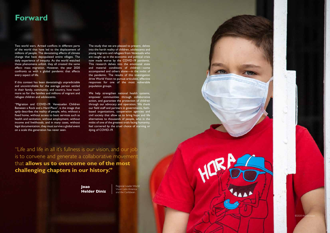World Vision | *June 2020* Migration and COVID-19: Venezuelan children, between a rock and a hard place

4 5

#### **Forward**

Two world wars. Armed conflicts in different parts of the world that have led to the displacement of millions of people. The devastating effects of climate change that have depopulated entire villages. The daily experience of inequity. As the world watched these phenomena unfold, they all created the same effect: mass migration. However, the year 2020 confronts us with a global pandemic that affects every aspect of life.

If this context has been devastatingly unpredictable and uncontrollable for the average person settled in their family, community, and country, how much more so for the families and millions of migrant and refugee children and adolescents.

"Migration and COVID-19: Venezuelan Children Between a Rock and a Hard Place", is the image that aptly describes the reality of people, who, without a fixed home, without access to basic services such as health and sanitation, without employment, without income and livelihoods, and in many cases, without legal documentation, they must survive a global event on a scale this generation has never seen.

We help strengthen national health systems, empower communities through collaborative action, and guarantee the protection of children through our advocacy and operation. We thank our field staff and partners in governments, faithbased organizations, cooperation agencies and civil society that allow us to bring hope and life alternatives to thousands of people, who in the midst of one of the greatest trials facing humanity, feel cornered by the cruel choice of starving or dying of COVID-19.

> Regional Leader World Vision Latin America and the Caribbean.

> > ©2020 V

**Joao Helder Diniz**

The study that we are pleased to present, delves into the harsh reality of children, adolescents and young migrants and refugees from Venezuela who are caught up in the economic and political crisis now made worse by the COVID-19 pandemic. This research delves into the emotional state and material conditions of children—some accompanied and others alone—in the midst of the pandemic. The results of this investigation drive World Vision to pursue articulate, effective responses for one of the most vulnerable population groups.

"Life and life in all it's fullness is our vision, and our job is to convene and generate a collaborative movement that **allows us to overcome one of the most challenging chapters in our history."**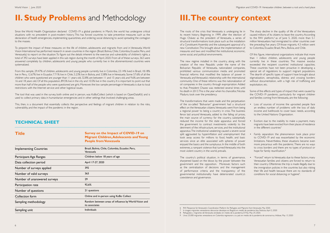## **II. Study Problems** and Methodology

Since the World Health Organization declared COVID-19 a global pandemic in March, the world has undergone critical situations with no precedent in post-modern history. This has forced countries to take preventive measures such as the declaration of health emergencies, implementing quarantines, and ordering social distancing to avoid spreading the contagion to the masses.

To pinpoint the impact of these measures on the life of children, adolescents and migrants from and in Venezuela, World Vision International has performed research in seven countries in the region (Brazil, Bolivia, Chile, Colombia, Ecuador, Peru, and Venezuela) to report on the situation. To figure out the details inherent to the exercise and vulnerability of children's rights, a total of 392 surveys have been applied in this sub region during the month of April, 2020. From all of these surveys, 363 were answered completely by children, adolescents and young people who currently live in the aforementioned countries were systematized.

The tool that was used in the survey, both online and in person, was KoBoCollect (which is based on OpenDataKit) and is used to collect primary data in humanitarian emergencies and in other settings that involved challenging areas.

From this sample, 29.47% of children, adolescents and young people currently live in Colombia, 23.14% lived in Brazil, 18.18% live in Peru, 12.67% live in Ecuador, 7.71% live in Chile, 5.23% live in Bolivia, and 3.58% live in Venezuela. Some 57.6% of all the children who were questioned are younger than 11 years old, 32.8% are between 11 and 15 years old, and 9.6% are between 16 and 18 years old. Of all this population, 89.5% live in the city and 10.5% live in the country. It is important to point out that more than half of the people who were questioned are girls. Moreover, the low sample percentage in Venezuela is due to local restrictions with the Internet service and other logistical issues.

This, then, is a document that essentially collects the perspective and feelings of migrant children in relation to the risks, vulnerability, and the impact of the pandemic in the region.

#### **TECHNICAL SHEET**

#### 

**Title** Implementing Countries Participant Age Ranges Data collection period Number of surveys applied Number of valid surveys Number of unanswered surveys Participation rate Number of questions Collection form Sampling unit Sampling methodology **Survey on the Impact of COVID-19 on Migrant Children, Adolescents and Young People from Venezuela** Brazil, Bolivia, Chile, Colombia, Ecuador, Peru, Venezuela Children below 18 years of age April 17-27, 2020 392 363 29 92,6% 21 questions Online and in-person using KoBo Collect Individuals Random between areas of influence by World Vision and its associates

The roots of the crisis that Venezuela is undergoing lie in its recent history. Beginning in 1999, after the election of Hugo Chávez as the president of Venezuela, a series of structural transformations took place such as the installation of a Constituent Assembly and the subsequent approval of a new Constitution. This brought about the implementation of measures and laws and modified the institutional, economic,

some social, and political environments.

The new regime installed in the country, along with the creation of the new Republic under the name of the Bolivarian Republic of Venezuela, nationalized companies, prohibited various communication media and promoted financial reforms that modified the balance of power in Venezuela and Venezuela's relationship with the international community. One of these reforms was the nationalization of oil companies in the country through expropriation. Added

Maduro, took over the presidency.

The transformations that were made and the perpetuation of the so-called "Bolivarian" government had a structural effect on the Venezuelan citizens. Venezuela went from being a regional power to being a country in crisis. The business fence laid around Venezuela, added to the falling oil prices, the main source of currency for the country, substantially reduced the income for the state apparatus and forced the government to contract investments violently to the detriment of the infrastructure, services, and the institutional apparatus. The institutional weakening caused a severe social split aggravated by hyperinflation and unemployment that took away access for millions to food, health, and basic services since an elite associated with spheres of power enjoyed the basics and the sumptuous. In the middle of both extremes, a rampant violence that turned Venezuela into the most violent country in the world, prevails.

The country's political situation, in terms of governance, sharpened based on the blows by the power between the government and the opposition. Moreover, factors such as the centralization of decisions and the management of performance criteria and the transparency of the governmental institutionality have deteriorated country's coexistence and governance.

#### 

- The sharp decline in the quality of life of the Venezuelans caused millions of its citizens to leave the country. According to the R4V platform,<sup>6</sup> as of June 5, 2020, more than 5.1 million Venezuelans had immigrated to other countries over the preceding five years. Of those migrants, 4.3 million went to Colombia, Ecuador, Brazil, Peru, Bolivia, and Chile.
- Of this figure, international organizations indicate that more than 1 million children, adolescents and young people currently live in these countries. The massive exodus exceeded the recipient countries' institutional capacities. These countries have not been proactive in developing a special set of regulations to support migrant populations. The dearth of specific types of support have brought about stigmatization, xenophobia, distress and crossing borders without documentation, with a high risk of trafficking and exploitation, etc.
- Some of the effects and types of impact that were caused by the COVID-19 pandemic, particularly for migrant children and families coming from Venezuela, are the following:
- Loss of sources of income: the uprooted people face an endless number of problems with the loss of daily income and livelihoods to cover basic needs, according to the United Nations Organization.
- Eviction: due to the inability to make a payment, many migrants have been evicted from their places of residence in the different countries<sup>7.</sup>
- Family separation: the phenomenon took place prior to COVID-19 and was exacerbated by the economic limitations. Nevertheless, these situations became even more precarious with the pandemic. There are no ways to cross borders and there are no types of protocol or hope for family reunification.<sup>8</sup>
- "Forced" return to Venezuela: due to these factors, many Venezuelan families and citizens are forced to return to their country. Oftentimes the trip is made illegally due to the immigration policies in the countries but also risking their life and health because there are no standards of conditions for social distancing or hygiene<sup>9</sup>. .

- 6 R4V Response for Venezuela's Coordination Platform for Refugees and Migrants from Venezuela, May 2020.
- 7 In images: migrantes venezolanos denuncian desalojos en Bogotá en medio de pandemia, Voa Noticias, April 2, 2020
- 8 Refugiados y migrantes de Venezuela: olvidados en medio de la pandemia, El País, May 24, 2020.
- 9 Unos 25.000 migrantes venezolanos en Colombia regresaron a su país en medio de la pandemia de coronavirus, Infobae, May 13, 2020

#### **III. The country context**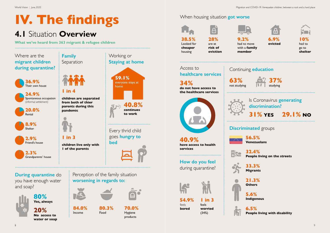World Vision | *June 2020* Migration and COVID-19: Venezuelan children, between a rock and a hard place

# **IV. The findings**

## **4.1** Situation **Overview**

**What we've heard from 363 migrant & refugee children**

#### When housing situation **got worse**

#### Continuing **education**

#### Is Coronavirus **generating discrimination?**





#### **31% YES 29.1% NO**



**56.5% Venezuelans**

**32.4% People living on the streets**

**33.3% Migrants**

**21.3% Others**

**5.6% Indigenous** 

**6.5% People living with disability**

**38.5%** Looked for **cheaper**

housing



**28%** are at **risk of eviction**

 $\overline{a}$ 

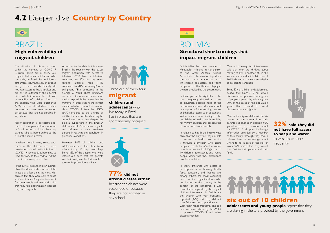The situation of migrant children within the context of COVID-19 is critical. Three out of every four migrant children and adolescents who live today in Brazil, live in informal settlements (slums, favelas, or invaded lands). These contexts typically do not have access to basic services and are on the outskirts of the different cities, which increases the risk and vulnerability of children. Most of the children who were questioned (77%) did not attend classes either because the classes were suspended or because they are not enrolled in any school.

Family separation is persistent: onethird of the migrant children who live in Brazil do not or did not have any parents living at home before so the risk of the abuse increase.

In relation to this issue, almost twothirds of the children who were questioned claimed that in this time of COVID-19 somebody at home has to leave to work so they had to find the most inexpensive place to live.

In the survey, migrant children in Brazil claim that discrimination is one of the issues that affect them the most. Half claimed that they were able to sense a different type of negative treatment for some people and two-thirds claim that they felt discrimination because they were migrants.

Bolivia tallies the lowest number of Venezuelan migrants in comparison to the other Andean nations. Nevertheless, the situation is perhaps the most critical because six out of 10 children, adolescents and young people report that they are staying in shelters provided by the government.

In those places, the right that is the most frequently violated is access to education because none of the interviewees is enrolled in any school. Interruption of the learning process and the lack of access to an educational system is even more limiting on the possibilities related to social mobility for migrant children and deepens the risks associated with poverty.

In relation to health, the interviewees claim that the only way they are able to access the health care service is through a physician who assists people in the shelters. Another critical issue is access to food. Eight out of 10 children, adolescents, and young people claim that they experience problems with food.

In short, difficulties with access to or deprivation of housing, health, food, education, and income are, among others, the most overriding needs for the migrant children who are located in this country. In the context of the pandemic, it was found that, comparatively, the migrant children interviewed in Bolivia are the children who most frequently reported (32%) that they did not have full access to soap and water to wash their hands frequently. This is a basic recommendation by the WHO to prevent COVID-19 and other diseases infection.

## BRAZIL:

#### **High vulnerability of migrant children**

#### BOLIVIA:

#### **Structural shortcomings that impact migrant children**

## **4.2** Deeper dive: **Country by Country**



According to the data in this survey, Brazil is the country with the lowest migrant population with access to television (23% have a television compared to 62% for the semiregional average), radio (19% compared to 28% on average) or a cell phone (81% compared to the average of 91%). These limitations on access to mass communication media are possibly the reason that the migrants in Brazil report the highest number who had received information about COVID-19 from the NGOs (66% compared to the average of 26.3%). The sum of this data may be an indication to us that, despite the political supporters in the Brazilian state related to Venezuelan migrants and refugees, a state weakness persists in reaching the population in precarious conditions.

However, 80% of children and adolescents claim that they know where to go if they need help. Some 85% of the people who were interviewed claim that the parents and their family are the first people to turn to for protection and help.

One out of every four interviewees said that they are thinking about moving to live in another city in the same country and a little bit more of 10% indicated that they have a desire to go back to Venezuela.

Some 53% of children and adolescents believe that COVID-19 has driven discrimination up toward one group of people in particular, indicating that 70% of the cases of the population group that received the most discrimination are migrants.

Most of the migrant children in Bolivia connect to the Internet from their parents' cell phones. In addition, 90% gained access to information about the COVID-19 risks primarily through information provided by a member of their family. Although they have a relevant level of knowledge about where to go in case of the risk or injury, 92% stated that they would turn first to their parents and their family.



**77% did not attend classes either** 

because the classes were suspended or because they are not enrolled in any school

**32% said they did not have full access to soap and water** 

to wash their hands frequently





#### **migrant**

**children and adolescents** who

live today in Brazil, live in places that are spontaneously occupied

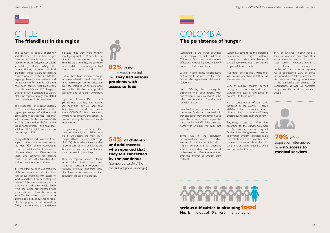The context is equally challenging and threatening for a boy or girl. Even so, for people who have set themselves up in Chile, the conditions are relatively better according to the survey. Although income and food are highly critical factors for migrant children who are located in Chile, the largest problem for the pandemic and the quarantine for them is that there have been conflicts that have arisen inside the family. Some 43% of migrant children in Chile compared to 22.8% of the sub regional average have stated that domestic conflicts have risen.

The responses for migrant children in Chile also stands out due to the higher percentage of children and adolescents who reported that they felt concerned by the pandemic (54% in Chile compared to 34.2% of the sub-regional average) and that they felt fear (32% in Chile compared to the average of 19%).

It is important to point out that 82% of the interviewees revealed that they had serious problems with access to food. In addition, it bears pointing out that half of the interviewed population is at home with their whole family while the other half indicated that somebody had to leave the house to work. This has a direct impact on care and the possibility of purchasing food. Of the population interviewed in Chile, almost one-third of the children

Along with Brazil and Colombia, Chile is part of the countries were almost the total (93%) of the interviewees reported that they had lost income. However, the major difference with these two countries for migrant children in Chile is that two-thirds live in their own home, not in shelters.

Compared to the other countries in the sample, migrant children in Colombia face the most serious difficulties in obtaining food. Nearly 9 out of 10 children mentioned it.

Lack of income, food, hygiene items and access to services are the main factors affecting migrant children in Colombia.

Some 85% stays home during the quarantine, with both parents, with one of them or with a relative. On the other hand, one out of four does not live with relatives.

Two-thirds remain in quarantine with the whole family and one-third said that somebody from the family had to leave the house to work despite the measures. Some 88% of the latter stay home with an adult who takes care of them.

Some 70% of the population interviewed have no access to medical services. In addition to this, half of migrant children are not attending school because classes are suspended; while the other half receives education over the Internet or through print material.

#### CHILE: **The friendliest in the region**

#### COLOMBIA: **The persistence of hunger**

indicated that they were thinking about going back to Venezuela. The other third has no intention of moving from the city where they are currently located while the remaining one-third does not know what it will do.

Half of them have someplace to go for issues related to health and that same percentage receives education over the Internet or through print material. The other half has suspended classes or is not enrolled in any school.

Eight out of every 10 boys and girls claimed that they had Internet and television service and that they have received information about COVID-19 about protection, symptom recognition, and actions in case of catching the disease through these media.

Comparatively, in relation to other countries, the migrant children who live in Chile know the most (93% compared to the sub-regional average of 75.5%) about where they are able to go in case of risks or injuries but their mothers and fathers are the first place they would go for help.

Their perception about different forms of discrimination due to their status as Venezuelan migrants is relatively low. Only one-third sense other forms of discrimination to other population groups or categories.

Colombia seems to be the preferred destination for migrant children coming from Venezuela. None of those interviewed said they wanted to go back to Venezuela.

Two-thirds do not know what they will do and one-third said they will stay in Colombia.

75% of migrant children claimed having access to soap and water, although one quarter have partial or no access to these inputs.

As a consequence of the crisis increased by the COVID-19, some 70% had to find the most inexpensive place to live, or is at risk of being evicted due to non-payment of rent.

Regarding access to information, according to the survey, Colombia is the country where migrant families have the greatest access to information through television, radio and cell phones. This is how they have obtained information about the risks, symptoms and care needed to avoid infection with COVID-19.

**82%** of the interviewees revealed that **they had serious problems with access to food**

> **70%** of the population interviewed have **no access to medical services**



**54% of children and adolescents who reported that they felt concerned by the pandemic**  (compared to 34.2% of

the sub-regional average)

#### **serious difficulties in obtaining food**

Nearly nine out of 10 children mentioned it.

# 

84% of surveyed children have a sense of care and protection. They know where to go and to whom (their family). However, there is little reference to institutions or bodies of the protection system. As to coexistence, 20% of those interviewed have felt an increase of discrimination following the outbreak of the pandemic; they claimed that Venezuelans, as well as homeless people are the most discriminated people.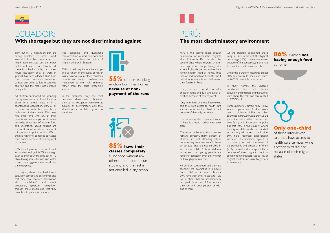Eight out of 10 migrant children are having problems to access food. Almost half of them have access to health care services, but the other half do not have or do not know that there is a health facility near their house. Education of all of them, in general, has been affected. 85% have their classes completely suspended without any other option to continue studying, and the rest is not enrolled in any school.

All children questioned are spending the quarantine at a fixed location, either in a rented house or in a spontaneous occupation. 80% of all of them live with their parents or with one of them, while 20% does not longer live with any of their parents. As their compatriots in other countries show, lack of income, food and uncertainty about housing are the most critical needs in Ecuador. It is important to point out that 55% of them is risking to be forced to vacate their homes because of non-payment of the rent.

92% do not plan to move, or do not know what to do, while 7% want to go back to their country. Eight out of 10 claim having access to soap and water to reinforce hygiene measures during the emergency.

The majority claimed they has Internet, television service and cell phones and that they have received information about COVID-19 and about protection, symptom recognition through these media and that they comply with preventive measures.

**55%** of them is risking eviction from their homes **because of nonpayment of the rent**



Peru is the second most popular destination for Venezuelan migrants after Colombia. Peru is also the second place where migrant children have experienced hunger to a greater extent. Eighty-six percent claimed not having enough food at home. Thus, income and food have been the most critical factors for migrant children and their families in Peru.

Thirty-four percent needed to find a cheaper house and 32% are at risk of eviction because of non-payment.

Only one-third of those interviewed said they have access to health care services, while another third did not because of their migrant status.

The remaining third does not know if there is a health facility near their place.

The impact in the educational process remains constant. Thirty percent of children are not attending school because they have suspended classes or because they are not enrolled in any school, while 61% of children, adolescents and young people are receiving education over the Internet or through print material.

All children questioned said they are spending the quarantine in a house. Some 39% live in rented houses, 20% have their own house and 10% live in places that are spontaneously occupied. Three out of four indicate they live with both parents or with one of them.



#### ECUADOR: **With shortages but they are not discriminated against**

#### **85% have their classes completely**

suspended without any other option to continue studying, and the rest is not enrolled in any school

#### **Only one-third**

of those interviewed said they have access to health care services, while another third did not because of their migrant status

#### **86%** claimed **not having enough food** at home





#### PERÚ: **The most discriminatory environment**

The pandemic and quarantine measures have caused boredom and concern to at least two thirds of migrant children in Ecuador.

89% claimed they know where to go and to whom in the event of risk or injury, however, as in other countries, parents and family members are mentioned as the main referents rather than the state protection services.

In the meantime, only one third perceived discrimination, however, they do not recognize themselves as subjects of discriminatory acts; they identify other population groups as the victims.



Of the children questioned, those living in Peru represent the highest percentage (16%) of situations where, because of the pandemic, parents had to leave them with someone else.

Under the lockdown measures, almost 80% has access to soap and water, while 20% have little or no access.

In their homes, the children questioned have cell phones, television and Internet, and there, they learn about the risks and care related to COVID-19.

Three-quarters claimed they know where to go in case of risk or injury due to violence. Unlike the other countries, in Peru, 60% said they would go to the police rather than to their own family. It is important to point out that Peru is the country where the migrant children who participated in the study felt more discrimination: 50% have reported experiencing increased discrimination against a particular group with the onset of the pandemic and almost all of them (91%) showed that it is against them because of their migrant condition coming from Venezuela. About 14% of migrant children said want to go back to Venezuela.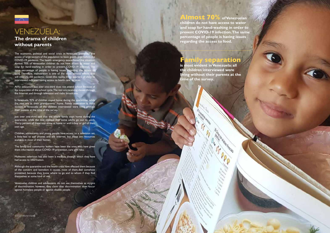



#### VENEZUELA: **The drama of children without parents**

The economic, political and social crisis in Venezuela prevented the access of large sectors of the population to basic goods, even before the COVID-19 pandemic. The health emergency exacerbated the situation. Almost 70% of Venezuelan children do not have access to soap for hand-washing in order to prevent COVID-19 infection. same percentage of people is having issues regarding the access food. Therefore, malnutrition is one of the most serious effects that will intensify the pandemic. Given this reality, three quarters of children interviewed indicated having access to health care services.

As to education, just over one-third does not attend school because of the suspension of the school cycle. The rest are receiving classes through the Internet and through television and radio broadcasts.

In Venezuela, 92% of children stayed home during the quarantine, while the rest are at their grandparents' home. Family separation is most evident in Venezuela: all the children interviewed were living without their parents at the time of the survey.

Just over one-third said that the whole family stays home during the quarantine, while the rest claimed that some adults go out to work. Thirty percent of these stay alone at home or with a boy or girl of their own age.

Children, adolescents and young people have access to a television set, a little less to cell phones and the Internet, but these are resources available in most of their homes.

The family and community leaders have been the ones who have given them information about COVID-19 prevention, care and risks.

Moreover, television has also been a medium through which they have had access to information.

Although the quarantine and the health crisis have affected them because of the concern and boredom it causes, most of them feel somehow protected, because they know where to go and to whom if they find themselves at some kind of risk

Venezuelan children and adolescents do not see themselves as victims of discrimination; however, they claim that discrimination does occur against homeless people or against disable people.

#### **Family separation**

**is most evident in Venezuela: all the children interviewed were living without their parents at the time of the survey.**

#### **Almost 70% of Venezuelan**

**children do not have access to water and soap for hand-washing in order to prevent COVID-19 infection. The same percentage of people is having issues regarding the access to food.**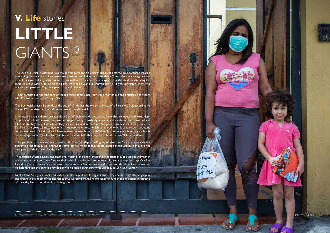18 19

10 WVI, adaptation of the story written by Monica Rumbos, Cash Transfer Program Coordinator, 2020 World Vision

The yard of a small guesthouse was the perfect place for a big party. The night before, some parents prepared everything they needed, children were really excited and helped organize things. They did not want to go to bed even if they were sleepy. Saturday arrived as well as the celebration so expected by the children attending the Santa Eduviges Dining House. At this party, we met 12-year-old Danfred and his 11-year-old sister Jehisy, who live with 69 years old Oly, their paternal grandmother.

"Their parents did not take care of them. I raised them since they were months old and I struggled for years with Danfred malnutrition", says Oly.

This boy weighs just 48 pounds at the age of 12. He has the weight and size of a 7-year-old boy, according to the WHO. Her sister and grandmother are also underweight.

In Venezuela, many children are abandoned or left behind and have to face life with their needs and fears. Many drop out of school because they are not supported by somebody to guide and motivate them. Danfred and Jehisy study, they do well at school. They are also trained in the Youth Symphony Orchestra in Los Teques city. Danfred has a great talent to sign with a mezzosoprano voice, which combined with his tender look, sweetens and moves hearts. The kids do not have internet, or telephones with WhatsApp, items schools and high schools use to assign homework. Danfred and his sister don't hide their concern about the COVID-19 pandemic.

# LITTLE I GIANTS<sup>10</sup> **V. Life** stories

"The pandemic has worsen our situation. All of us feel depressed," grandmother says "we are observing the quarantine imposed, but it is hard. Kids have lost weight since they do not attend school, because they are not having one of their meals for the day."

The situation affects physical and emotional health of the family: children cry because they see their grandmother cry when she can't get them food or their school supplies, and sometimes all three cry together, says Oly. But Grandma also expresses hope because she always asks God not to abandon her, and this time, God shows her his help through the benefit provided by World Vision partnering with Los Teques Christian Center.

Danfred and Yehisy are noble, educated, simple, helpful and loving children. They cry, but they also laugh, play and dream in the midst of the shortages that surround them. The presence of hunger and resilience in the face of adversity has turned them into little giants.

d Vision AYUDA MANITARIA

World Vision and Covid-19: Vision and Covid-19: Venezuelan children, between a rock and a rock and a hard place and a hard place and a hard place and a hard place and a hard place and a hard place and a hard place and plac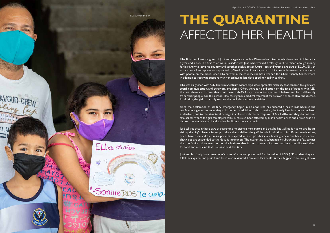World Vision | *June 2020*

Elba, 8, is the oldest daughter of José and Virginia, a couple of Venezuelan migrants who have lived in Manta for a year and a half. The first to arrive in Ecuador was José who worked tirelessly until he raised enough money for his family to leave his country and together seek a better future. José and Virginia are part of ECUAVEN, an association of entrepreneurs supported by World Vision Ecuador, as part of its line of humanitarian assistance with people on the move. Since Elba arrived in the country, she has attended the Child Friendly Space, where in addition to receiving support with her tasks, she has developed her ability to draw.

Elba was diagnosed with ASD (Autism Spectrum Disorder), a developmental disability that can lead to significant social, communication, and behavioral problems. Often, there is no indication on the face of people with ASD that sets them apart from others, but those with ASD may communicate, interact, behave, and learn differently from other people. For this reason, Elba has rigorous medical treatment that allows her to control the disease. In addition, the girl has a daily routine that includes outdoor activities.

Since the declaration of sanitary emergency began in Ecuador, Elba has suffered a health loss because the confinement generates an anxiety crisis in her. In addition to this situation, the family lives in a house declared as disabled, due to the structural damage it suffered with the earthquake of April 2016 and they do not have safe spaces where the girl can play. Nicolás, 6, has also been affected by Elba's health crises and always asks his dad to have medicine on hand so that his little sister can take it.

José tells us that in these days of quarantine medicine is very scarce and that he has walked for up to two hours visiting the city's pharmacies to get a dose that stabilizes the girl's health. In addition to insufficient medications, prices have risen and the prescription has expired with no possibility of obtaining a new one because medical check-ups are suspended so the dose is incomplete. The quarantine is substantially subtracting the few savings that the family had to invest in the cake business that is their source of income and they have allocated them for food and medicine that is a priority at this time.

José and his family have been beneficiaries of a consumption card for the value of USD \$ 90 so that they can fulfill their quarantine period and their food is assured; however, Elba's health is their biggest concern right now.

# **THE QUARANTINE**  AFFECTED HER HEALTH



©2020 World Vision

ELba osaños

"Sonnie DIOS Te ama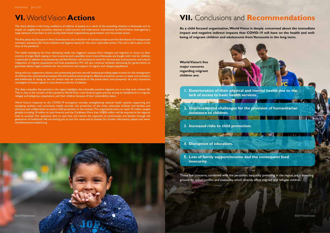

**As a child focused organization, World Vision is deeply concerned about the immediate impact and negative indirect impacts that COVID-19 will have on the health and wellbeing of migrant children and adolescents from Venezuela in the long term.**

The sharp decline in the living conditions of millions of people as a result of the prevailing situation in Venezuela and its impact on neighboring countries, required a multi-country and multi-sector intervention by World Vision, leveraged by a large network of partners in civil society, faith-based organizations, governments and the private sector.

The first phase has focused on direct humanitarian aid, in the form of nutrition projects and the distribution of multipurpose monetary assistance (for food, medicine and hygiene items) for the most vulnerable sectors. This aid is still in place in this time of the pandemic.

The health emergency, far from alleviating needs, has triggered requests from refugees and migrants to return to their country of origin. Both staying in host countries and a possible return trip to Venezuela are fraught with risks for children, in particular. In addition to humanitarian aid, World Vision will continue to work for the inclusion and economic and cultural integration of migrant populations and host populations. WV will also continue tirelessly advocating for governments to guarantee decent legal conditions for the protection and support of migrant and refugee populations.

Along with our supporters, donors, and community partners, we will continue providing opportunities for the reintegration of children into educational processes. We will continue advocating for effective protection, access to water and sanitation, and livelihoods. In doing so, we are certain that we contribute to the preservation and prosperity of a very important contingent of human capital in Latin America and the Caribbean.

The deep inequality that persists in the region highlights the vulnerable position migrants are in as they seek a better life. That is why, in the context of this pandemic, World Vision Latin America gives priority among its beneficiaries to migrant, refugee and indigenous populations, and their children because of their vulnerability status.

World Vision's response to the COVID-19 emergency includes strengthening national health systems, supporting and equipping workers and community health services, the protection of the most vulnerable children and families and advocacy and collaboration to ensure child protection in this context. The organization plans to reach 70 million people globally, including 10 million in Latin America and the Caribbean. More than US\$50 million will be required at the regional level to succeed. Our operation aims to save lives and restore the capacities of communities and families through the generation of livelihoods. We are inviting you to join this cause and to donate. For further information, please visit www. worldvisionamericalatina.org

**World Vision's five major concerns regarding migrant children are:**



These five concerns, combined with the persistent inequality prevailing in the region, are a breeding ground for social conflict and insecurity, which directly affect migrant and refugee children.

**1. Deterioration of their physical and mental health due to the lack of access to basic health services.**

**2. Unprecedented challenges for the provision of humanitarian assistance to children.**

**3. Increased risks to child protection.**

**4. Disruption of education.**

**5. Loss of family support/income and the consequent food insecurity.**

The second contract of the second contract of the second contract of the second contract of

THE REPORT OF STREET

#### **VI.** World Vision **Actions**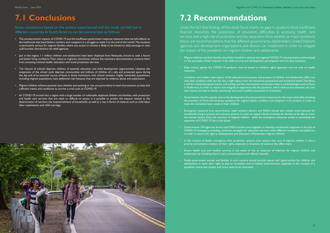## **7.2 Recommendations**

Given the fact that findings of this study focus mainly on gaps in access to food, insufficient financial resources, the suspension of education, difficulties in accessing health care services, and a high risk of protection and the separation from parents, as major problems, below are recommendations that the different governments, stakeholders, United Nations agencies and development organizations and donors can implement in order to mitigate the impact of the pandemic on migrant children and adolescents:

- Migrant children and their families should be included in national and regional COVID-19 risk prevention actions based on the principles of best interest of the child, survival and development, participation and non-discrimination.
- State actions against the COVID-19 pandemic must be based on children rights approach, and not only on health measures.
- Lockdown and sudden interruption of the educational processes and projects of children and adolescents affect not only their academic skills, but has also a high impact from the emotional perspective and emotional health. Therefore, it will be critical that governments, civil society, and the international community invest in methodologies such as Raise in Tenderness, in order to restore and resignify an experience like the pandemic, which without due attention, can turn into trauma and lead to family, community and social conflicts associated to frustration.
- Governments should urgently ensure the development of social protection measures for the most vulnerable, including the provision of food and monetary assistance for migrant fathers, mothers and caregivers in all contexts, in order to meet the immediate basic needs of their children.
- Emergency measures from governments, relief workers, donors and NGOs should also include social bonuses for households living in poverty and extreme poverty in order to support family economy for families to be able to cover the market basket, food and nutrition of migrant children while the emergency measures aimed at preventing the expansion of COVID 19 last in this phase.
- Governments, UN agencies, donors and NGOs should come together to develop coordinated responses in the face of COVID-19 emergency, including continuity strategies for education services under different modalities and platforms, in order to assure the right to development and education of Venezuelan migrant children.
- In this context of health emergency, child protection systems must ensure, that care of migrant children is also a priority and prevents violation of their rights, especially in situations of violence that affect them.
- Ensure health care and medical services in the event of risk or suspicion of infection for migrant children and adolescents by including them in care, communication and referral channels.
- Finally, government, society and families in each country should provide spaces and opportunities for children and adolescents to exert their right to play, to recreation and to healthy entertainment, especially in this context of a pandemic where fear, doubts and stress need to be channeled.



## **7.1 Conclusions**

Some conclusions based on the actions experienced and the study carried out in different countries in South America can be summarized as follows:

- The socioeconomic impacts of COVID-19 and the insufficient government response measures have harmful effects on the livelihoods that leave fathers, mothers and caregivers in a struggle to make it to the end of the month. The situation is particularly serious for migrant families, where any access to income is likely to be limited to daily earnings or even cash/voucher distributions by relief agencies.
- Just in the region, 1.1 million children and adolescents have been displaced from Venezuela, forced to seek a future and better living conditions. Their status as migrants, sometimes without the necessary documentation, prevents them from accessing national health, education and social protection services.
- The closure of schools deprives children of essential education and child development opportunities. Likewise, the suspension of the school cycle deprives communities and millions of children of a safe and protected space during the day and of an essential source of food, in those institutions with school canteens. Highly vulnerable populations, including migrant populations, have additional risks because they are exposed to violence, abuse and exploitation.
- Migrant children without parental care, whether pre-existing or not, are particularly in need of protection, as they lack sufficient means and conditions to survive a crisis such as COVID-19.
- As COVID-19 arrived into a region with a large number of vulnerable displaced children and families, with protection and health care services that are weak or difficult to access, it is possible to predict the impacts related to the deterioration of nutrition, the impoverishment of households, as well as a rise in forms of violence such as child labor, labor exploitation and child marriage.